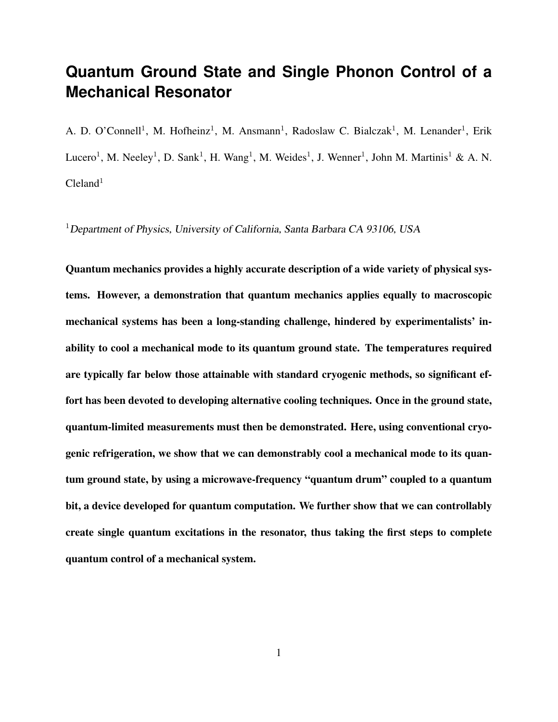# **Quantum Ground State and Single Phonon Control of a Mechanical Resonator**

A. D. O'Connell<sup>1</sup>, M. Hofheinz<sup>1</sup>, M. Ansmann<sup>1</sup>, Radoslaw C. Bialczak<sup>1</sup>, M. Lenander<sup>1</sup>, Erik Lucero<sup>1</sup>, M. Neeley<sup>1</sup>, D. Sank<sup>1</sup>, H. Wang<sup>1</sup>, M. Weides<sup>1</sup>, J. Wenner<sup>1</sup>, John M. Martinis<sup>1</sup> & A. N.  $C$ leland<sup>1</sup>

<sup>1</sup>Department of Physics, University of California, Santa Barbara CA 93106, USA

Quantum mechanics provides a highly accurate description of a wide variety of physical systems. However, a demonstration that quantum mechanics applies equally to macroscopic mechanical systems has been a long-standing challenge, hindered by experimentalists' inability to cool a mechanical mode to its quantum ground state. The temperatures required are typically far below those attainable with standard cryogenic methods, so significant effort has been devoted to developing alternative cooling techniques. Once in the ground state, quantum-limited measurements must then be demonstrated. Here, using conventional cryogenic refrigeration, we show that we can demonstrably cool a mechanical mode to its quantum ground state, by using a microwave-frequency "quantum drum" coupled to a quantum bit, a device developed for quantum computation. We further show that we can controllably create single quantum excitations in the resonator, thus taking the first steps to complete quantum control of a mechanical system.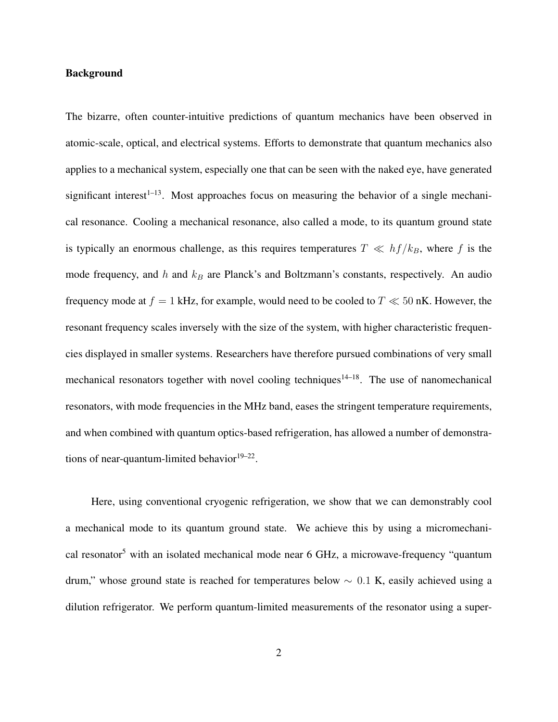### Background

The bizarre, often counter-intuitive predictions of quantum mechanics have been observed in atomic-scale, optical, and electrical systems. Efforts to demonstrate that quantum mechanics also applies to a mechanical system, especially one that can be seen with the naked eye, have generated significant interest<sup> $1-13$ </sup>. Most approaches focus on measuring the behavior of a single mechanical resonance. Cooling a mechanical resonance, also called a mode, to its quantum ground state is typically an enormous challenge, as this requires temperatures  $T \ll hf/k_B$ , where f is the mode frequency, and  $h$  and  $k_B$  are Planck's and Boltzmann's constants, respectively. An audio frequency mode at  $f = 1$  kHz, for example, would need to be cooled to  $T \ll 50$  nK. However, the resonant frequency scales inversely with the size of the system, with higher characteristic frequencies displayed in smaller systems. Researchers have therefore pursued combinations of very small mechanical resonators together with novel cooling techniques<sup>14–18</sup>. The use of nanomechanical resonators, with mode frequencies in the MHz band, eases the stringent temperature requirements, and when combined with quantum optics-based refrigeration, has allowed a number of demonstrations of near-quantum-limited behavior $19-22$ .

Here, using conventional cryogenic refrigeration, we show that we can demonstrably cool a mechanical mode to its quantum ground state. We achieve this by using a micromechanical resonator<sup>5</sup> with an isolated mechanical mode near  $6$  GHz, a microwave-frequency "quantum drum," whose ground state is reached for temperatures below  $\sim 0.1$  K, easily achieved using a dilution refrigerator. We perform quantum-limited measurements of the resonator using a super-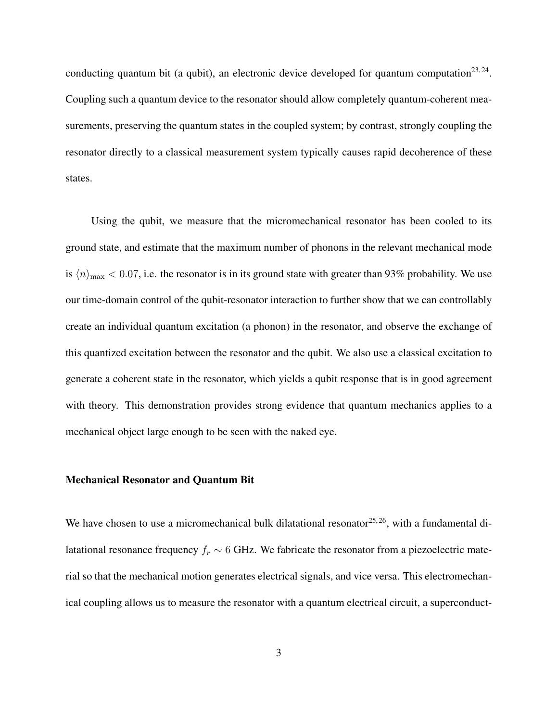conducting quantum bit (a qubit), an electronic device developed for quantum computation<sup>23,24</sup>. Coupling such a quantum device to the resonator should allow completely quantum-coherent measurements, preserving the quantum states in the coupled system; by contrast, strongly coupling the resonator directly to a classical measurement system typically causes rapid decoherence of these states.

Using the qubit, we measure that the micromechanical resonator has been cooled to its ground state, and estimate that the maximum number of phonons in the relevant mechanical mode is  $\langle n \rangle_{\text{max}} < 0.07$ , i.e. the resonator is in its ground state with greater than 93% probability. We use our time-domain control of the qubit-resonator interaction to further show that we can controllably create an individual quantum excitation (a phonon) in the resonator, and observe the exchange of this quantized excitation between the resonator and the qubit. We also use a classical excitation to generate a coherent state in the resonator, which yields a qubit response that is in good agreement with theory. This demonstration provides strong evidence that quantum mechanics applies to a mechanical object large enough to be seen with the naked eye.

#### Mechanical Resonator and Quantum Bit

We have chosen to use a micromechanical bulk dilatational resonator  $25, 26$ , with a fundamental dilatational resonance frequency  $f_r \sim 6$  GHz. We fabricate the resonator from a piezoelectric material so that the mechanical motion generates electrical signals, and vice versa. This electromechanical coupling allows us to measure the resonator with a quantum electrical circuit, a superconduct-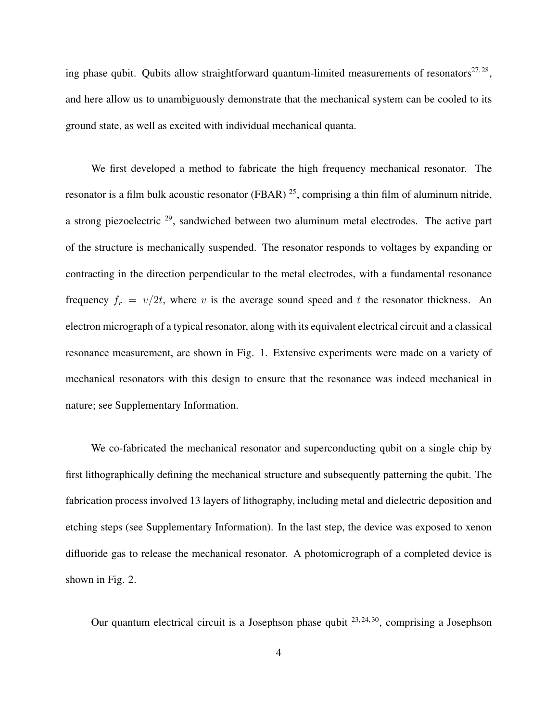ing phase qubit. Qubits allow straightforward quantum-limited measurements of resonators<sup>27,28</sup>, and here allow us to unambiguously demonstrate that the mechanical system can be cooled to its ground state, as well as excited with individual mechanical quanta.

We first developed a method to fabricate the high frequency mechanical resonator. The resonator is a film bulk acoustic resonator (FBAR)  $^{25}$ , comprising a thin film of aluminum nitride, a strong piezoelectric <sup>29</sup>, sandwiched between two aluminum metal electrodes. The active part of the structure is mechanically suspended. The resonator responds to voltages by expanding or contracting in the direction perpendicular to the metal electrodes, with a fundamental resonance frequency  $f_r = v/2t$ , where v is the average sound speed and t the resonator thickness. An electron micrograph of a typical resonator, along with its equivalent electrical circuit and a classical resonance measurement, are shown in Fig. 1. Extensive experiments were made on a variety of mechanical resonators with this design to ensure that the resonance was indeed mechanical in nature; see Supplementary Information.

We co-fabricated the mechanical resonator and superconducting qubit on a single chip by first lithographically defining the mechanical structure and subsequently patterning the qubit. The fabrication process involved 13 layers of lithography, including metal and dielectric deposition and etching steps (see Supplementary Information). In the last step, the device was exposed to xenon difluoride gas to release the mechanical resonator. A photomicrograph of a completed device is shown in Fig. 2.

Our quantum electrical circuit is a Josephson phase qubit  $^{23,24,30}$ , comprising a Josephson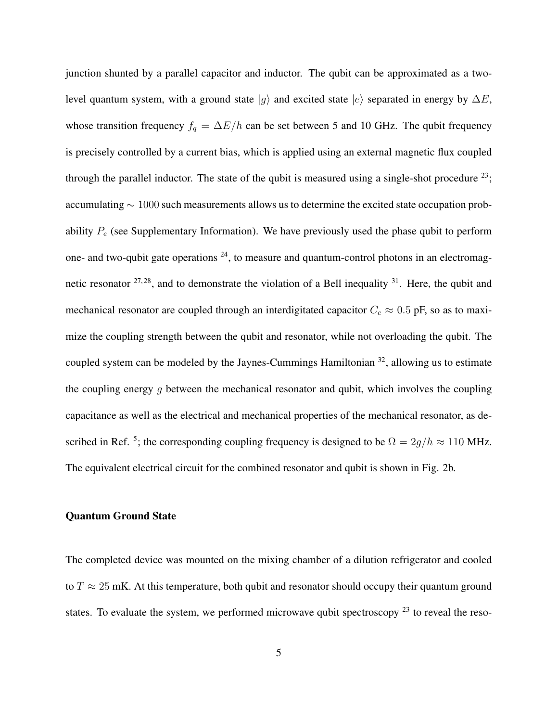junction shunted by a parallel capacitor and inductor. The qubit can be approximated as a twolevel quantum system, with a ground state  $|q\rangle$  and excited state  $|e\rangle$  separated in energy by  $\Delta E$ , whose transition frequency  $f_q = \Delta E/h$  can be set between 5 and 10 GHz. The qubit frequency is precisely controlled by a current bias, which is applied using an external magnetic flux coupled through the parallel inductor. The state of the qubit is measured using a single-shot procedure  $^{23}$ ; accumulating ∼ 1000 such measurements allows us to determine the excited state occupation probability  $P_e$  (see Supplementary Information). We have previously used the phase qubit to perform one- and two-qubit gate operations  $24$ , to measure and quantum-control photons in an electromagnetic resonator  $27.28$ , and to demonstrate the violation of a Bell inequality  $31$ . Here, the qubit and mechanical resonator are coupled through an interdigitated capacitor  $C_c \approx 0.5$  pF, so as to maximize the coupling strength between the qubit and resonator, while not overloading the qubit. The coupled system can be modeled by the Jaynes-Cummings Hamiltonian  $32$ , allowing us to estimate the coupling energy  $q$  between the mechanical resonator and qubit, which involves the coupling capacitance as well as the electrical and mechanical properties of the mechanical resonator, as described in Ref. <sup>5</sup>; the corresponding coupling frequency is designed to be  $\Omega = 2g/h \approx 110$  MHz. The equivalent electrical circuit for the combined resonator and qubit is shown in Fig. 2b.

### Quantum Ground State

The completed device was mounted on the mixing chamber of a dilution refrigerator and cooled to  $T \approx 25$  mK. At this temperature, both qubit and resonator should occupy their quantum ground states. To evaluate the system, we performed microwave qubit spectroscopy  $^{23}$  to reveal the reso-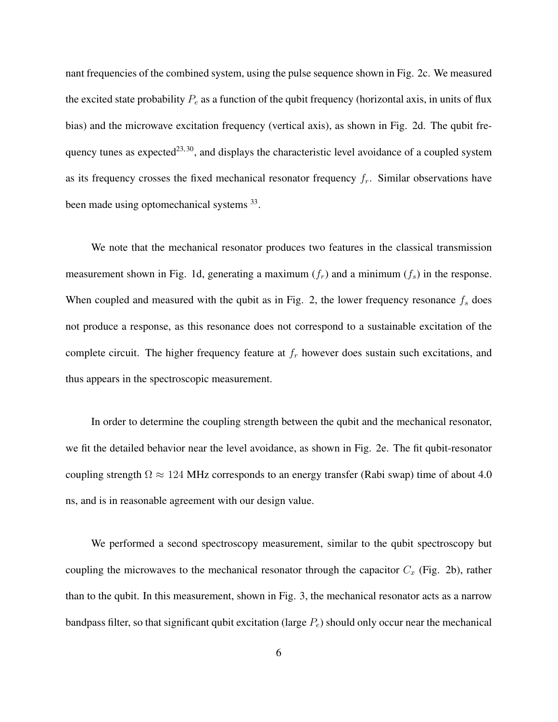nant frequencies of the combined system, using the pulse sequence shown in Fig. 2c. We measured the excited state probability  $P_e$  as a function of the qubit frequency (horizontal axis, in units of flux bias) and the microwave excitation frequency (vertical axis), as shown in Fig. 2d. The qubit frequency tunes as expected<sup>23, 30</sup>, and displays the characteristic level avoidance of a coupled system as its frequency crosses the fixed mechanical resonator frequency  $f_r$ . Similar observations have been made using optomechanical systems 33.

We note that the mechanical resonator produces two features in the classical transmission measurement shown in Fig. 1d, generating a maximum  $(f_r)$  and a minimum  $(f_s)$  in the response. When coupled and measured with the qubit as in Fig. 2, the lower frequency resonance  $f_s$  does not produce a response, as this resonance does not correspond to a sustainable excitation of the complete circuit. The higher frequency feature at  $f<sub>r</sub>$  however does sustain such excitations, and thus appears in the spectroscopic measurement.

In order to determine the coupling strength between the qubit and the mechanical resonator, we fit the detailed behavior near the level avoidance, as shown in Fig. 2e. The fit qubit-resonator coupling strength  $\Omega \approx 124$  MHz corresponds to an energy transfer (Rabi swap) time of about 4.0 ns, and is in reasonable agreement with our design value.

We performed a second spectroscopy measurement, similar to the qubit spectroscopy but coupling the microwaves to the mechanical resonator through the capacitor  $C_x$  (Fig. 2b), rather than to the qubit. In this measurement, shown in Fig. 3, the mechanical resonator acts as a narrow bandpass filter, so that significant qubit excitation (large  $P_e$ ) should only occur near the mechanical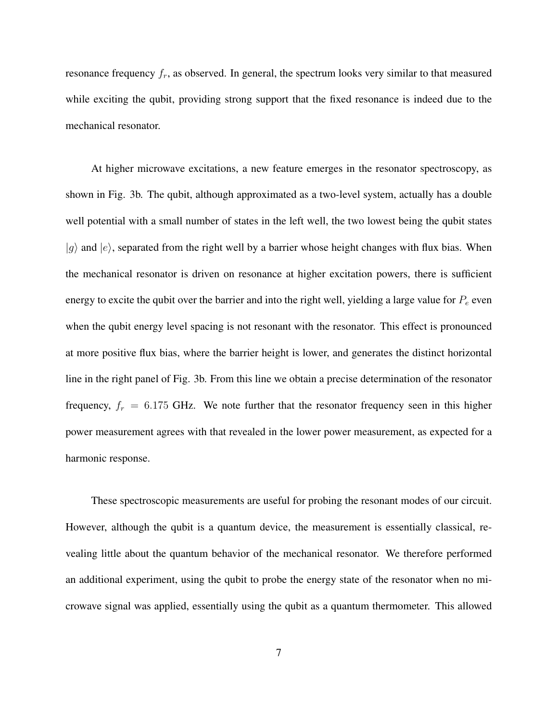resonance frequency  $f_r$ , as observed. In general, the spectrum looks very similar to that measured while exciting the qubit, providing strong support that the fixed resonance is indeed due to the mechanical resonator.

At higher microwave excitations, a new feature emerges in the resonator spectroscopy, as shown in Fig. 3b. The qubit, although approximated as a two-level system, actually has a double well potential with a small number of states in the left well, the two lowest being the qubit states  $|g\rangle$  and  $|e\rangle$ , separated from the right well by a barrier whose height changes with flux bias. When the mechanical resonator is driven on resonance at higher excitation powers, there is sufficient energy to excite the qubit over the barrier and into the right well, yielding a large value for  $P_e$  even when the qubit energy level spacing is not resonant with the resonator. This effect is pronounced at more positive flux bias, where the barrier height is lower, and generates the distinct horizontal line in the right panel of Fig. 3b. From this line we obtain a precise determination of the resonator frequency,  $f_r = 6.175$  GHz. We note further that the resonator frequency seen in this higher power measurement agrees with that revealed in the lower power measurement, as expected for a harmonic response.

These spectroscopic measurements are useful for probing the resonant modes of our circuit. However, although the qubit is a quantum device, the measurement is essentially classical, revealing little about the quantum behavior of the mechanical resonator. We therefore performed an additional experiment, using the qubit to probe the energy state of the resonator when no microwave signal was applied, essentially using the qubit as a quantum thermometer. This allowed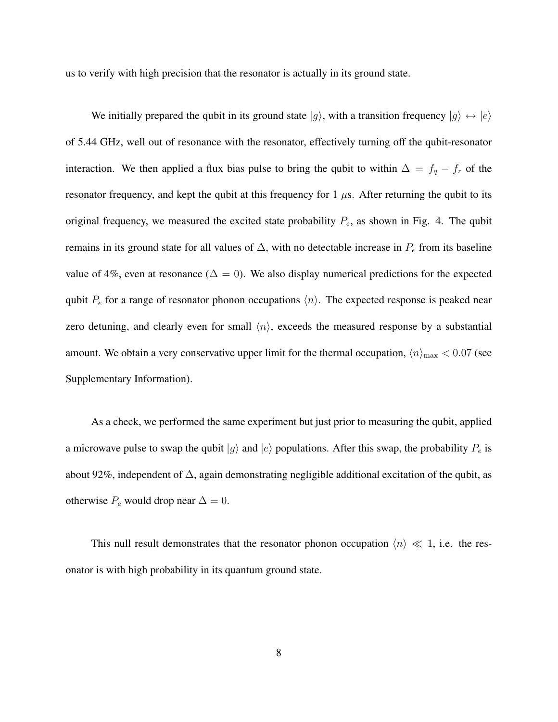us to verify with high precision that the resonator is actually in its ground state.

We initially prepared the qubit in its ground state  $|g\rangle$ , with a transition frequency  $|g\rangle \leftrightarrow |e\rangle$ of 5.44 GHz, well out of resonance with the resonator, effectively turning off the qubit-resonator interaction. We then applied a flux bias pulse to bring the qubit to within  $\Delta = f_q - f_r$  of the resonator frequency, and kept the qubit at this frequency for 1  $\mu$ s. After returning the qubit to its original frequency, we measured the excited state probability  $P_e$ , as shown in Fig. 4. The qubit remains in its ground state for all values of  $\Delta$ , with no detectable increase in  $P_e$  from its baseline value of 4%, even at resonance ( $\Delta = 0$ ). We also display numerical predictions for the expected qubit  $P_e$  for a range of resonator phonon occupations  $\langle n \rangle$ . The expected response is peaked near zero detuning, and clearly even for small  $\langle n \rangle$ , exceeds the measured response by a substantial amount. We obtain a very conservative upper limit for the thermal occupation,  $\langle n \rangle_{\text{max}} < 0.07$  (see Supplementary Information).

As a check, we performed the same experiment but just prior to measuring the qubit, applied a microwave pulse to swap the qubit  $|g\rangle$  and  $|e\rangle$  populations. After this swap, the probability  $P_e$  is about 92%, independent of ∆, again demonstrating negligible additional excitation of the qubit, as otherwise  $P_e$  would drop near  $\Delta = 0$ .

This null result demonstrates that the resonator phonon occupation  $\langle n \rangle \ll 1$ , i.e. the resonator is with high probability in its quantum ground state.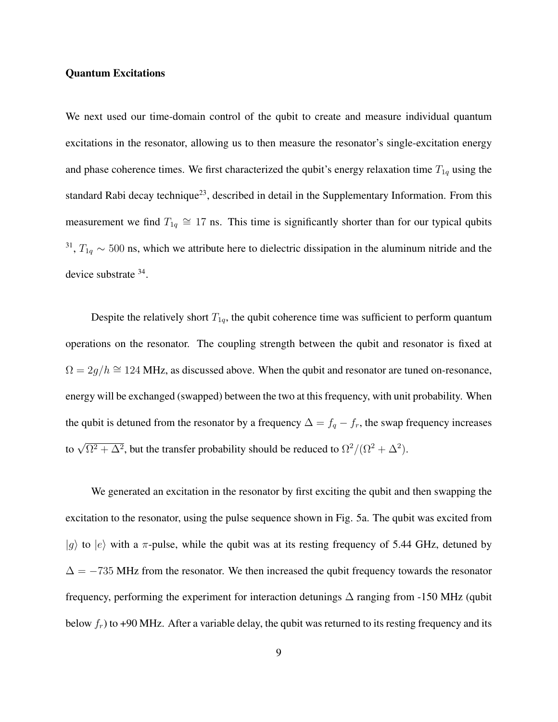### Quantum Excitations

We next used our time-domain control of the qubit to create and measure individual quantum excitations in the resonator, allowing us to then measure the resonator's single-excitation energy and phase coherence times. We first characterized the qubit's energy relaxation time  $T_{1q}$  using the standard Rabi decay technique<sup>23</sup>, described in detail in the Supplementary Information. From this measurement we find  $T_{1q} \cong 17$  ns. This time is significantly shorter than for our typical qubits <sup>31</sup>,  $T_{1q} \sim 500$  ns, which we attribute here to dielectric dissipation in the aluminum nitride and the device substrate <sup>34</sup>.

Despite the relatively short  $T_{1q}$ , the qubit coherence time was sufficient to perform quantum operations on the resonator. The coupling strength between the qubit and resonator is fixed at  $\Omega = 2g/h \approx 124$  MHz, as discussed above. When the qubit and resonator are tuned on-resonance, energy will be exchanged (swapped) between the two at this frequency, with unit probability. When the qubit is detuned from the resonator by a frequency  $\Delta = f_q - f_r$ , the swap frequency increases to  $\sqrt{\Omega^2 + \Delta^2}$ , but the transfer probability should be reduced to  $\Omega^2/(\Omega^2 + \Delta^2)$ .

We generated an excitation in the resonator by first exciting the qubit and then swapping the excitation to the resonator, using the pulse sequence shown in Fig. 5a. The qubit was excited from  $|g\rangle$  to  $|e\rangle$  with a  $\pi$ -pulse, while the qubit was at its resting frequency of 5.44 GHz, detuned by  $\Delta = -735$  MHz from the resonator. We then increased the qubit frequency towards the resonator frequency, performing the experiment for interaction detunings  $\Delta$  ranging from -150 MHz (qubit below  $f_r$ ) to +90 MHz. After a variable delay, the qubit was returned to its resting frequency and its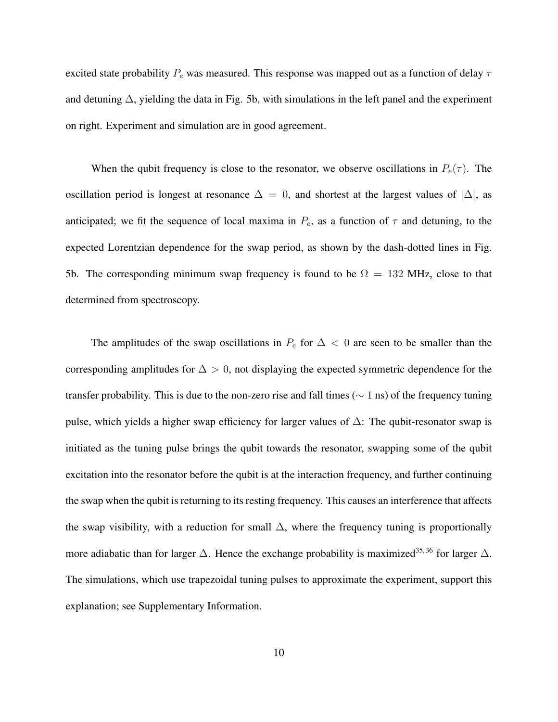excited state probability  $P_e$  was measured. This response was mapped out as a function of delay  $\tau$ and detuning ∆, yielding the data in Fig. 5b, with simulations in the left panel and the experiment on right. Experiment and simulation are in good agreement.

When the qubit frequency is close to the resonator, we observe oscillations in  $P_e(\tau)$ . The oscillation period is longest at resonance  $\Delta = 0$ , and shortest at the largest values of  $|\Delta|$ , as anticipated; we fit the sequence of local maxima in  $P_e$ , as a function of  $\tau$  and detuning, to the expected Lorentzian dependence for the swap period, as shown by the dash-dotted lines in Fig. 5b. The corresponding minimum swap frequency is found to be  $\Omega = 132$  MHz, close to that determined from spectroscopy.

The amplitudes of the swap oscillations in  $P_e$  for  $\Delta < 0$  are seen to be smaller than the corresponding amplitudes for  $\Delta > 0$ , not displaying the expected symmetric dependence for the transfer probability. This is due to the non-zero rise and fall times ( $\sim 1$  ns) of the frequency tuning pulse, which yields a higher swap efficiency for larger values of ∆: The qubit-resonator swap is initiated as the tuning pulse brings the qubit towards the resonator, swapping some of the qubit excitation into the resonator before the qubit is at the interaction frequency, and further continuing the swap when the qubit is returning to its resting frequency. This causes an interference that affects the swap visibility, with a reduction for small  $\Delta$ , where the frequency tuning is proportionally more adiabatic than for larger  $\Delta$ . Hence the exchange probability is maximized<sup>35,36</sup> for larger  $\Delta$ . The simulations, which use trapezoidal tuning pulses to approximate the experiment, support this explanation; see Supplementary Information.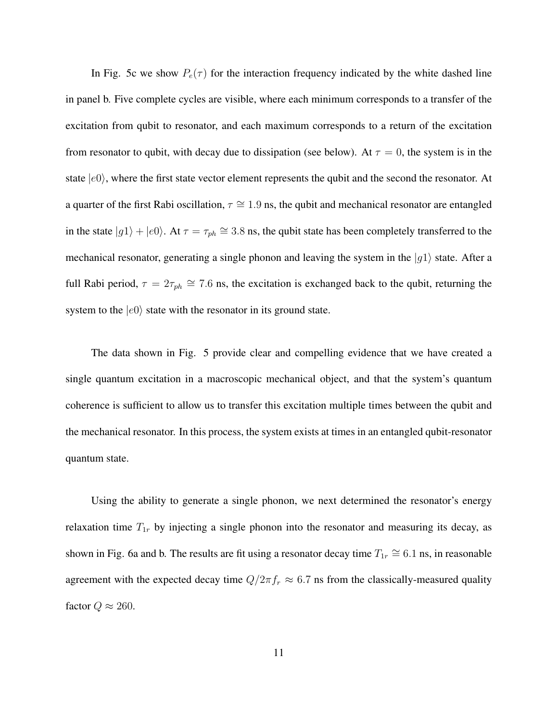In Fig. 5c we show  $P_e(\tau)$  for the interaction frequency indicated by the white dashed line in panel b. Five complete cycles are visible, where each minimum corresponds to a transfer of the excitation from qubit to resonator, and each maximum corresponds to a return of the excitation from resonator to qubit, with decay due to dissipation (see below). At  $\tau = 0$ , the system is in the state  $|e0\rangle$ , where the first state vector element represents the qubit and the second the resonator. At a quarter of the first Rabi oscillation,  $\tau \approx 1.9$  ns, the qubit and mechanical resonator are entangled in the state  $|g1\rangle + |e0\rangle$ . At  $\tau = \tau_{ph} \approx 3.8$  ns, the qubit state has been completely transferred to the mechanical resonator, generating a single phonon and leaving the system in the  $|q1\rangle$  state. After a full Rabi period,  $\tau = 2\tau_{ph} \approx 7.6$  ns, the excitation is exchanged back to the qubit, returning the system to the  $|e0\rangle$  state with the resonator in its ground state.

The data shown in Fig. 5 provide clear and compelling evidence that we have created a single quantum excitation in a macroscopic mechanical object, and that the system's quantum coherence is sufficient to allow us to transfer this excitation multiple times between the qubit and the mechanical resonator. In this process, the system exists at times in an entangled qubit-resonator quantum state.

Using the ability to generate a single phonon, we next determined the resonator's energy relaxation time  $T_{1r}$  by injecting a single phonon into the resonator and measuring its decay, as shown in Fig. 6a and b. The results are fit using a resonator decay time  $T_{1r} \cong 6.1$  ns, in reasonable agreement with the expected decay time  $Q/2\pi f_r \approx 6.7$  ns from the classically-measured quality factor  $Q \approx 260$ .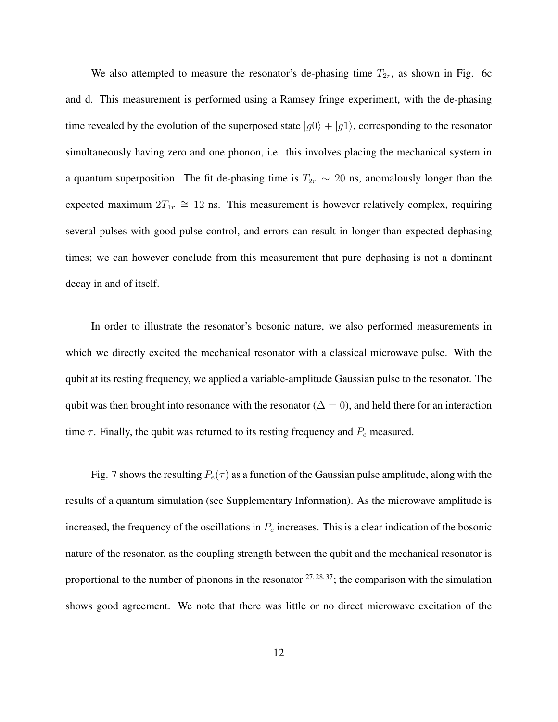We also attempted to measure the resonator's de-phasing time  $T_{2r}$ , as shown in Fig. 6c and d. This measurement is performed using a Ramsey fringe experiment, with the de-phasing time revealed by the evolution of the superposed state  $|g0\rangle + |g1\rangle$ , corresponding to the resonator simultaneously having zero and one phonon, i.e. this involves placing the mechanical system in a quantum superposition. The fit de-phasing time is  $T_{2r} \sim 20$  ns, anomalously longer than the expected maximum  $2T_{1r} \cong 12$  ns. This measurement is however relatively complex, requiring several pulses with good pulse control, and errors can result in longer-than-expected dephasing times; we can however conclude from this measurement that pure dephasing is not a dominant decay in and of itself.

In order to illustrate the resonator's bosonic nature, we also performed measurements in which we directly excited the mechanical resonator with a classical microwave pulse. With the qubit at its resting frequency, we applied a variable-amplitude Gaussian pulse to the resonator. The qubit was then brought into resonance with the resonator ( $\Delta = 0$ ), and held there for an interaction time  $\tau$ . Finally, the qubit was returned to its resting frequency and  $P_e$  measured.

Fig. 7 shows the resulting  $P_e(\tau)$  as a function of the Gaussian pulse amplitude, along with the results of a quantum simulation (see Supplementary Information). As the microwave amplitude is increased, the frequency of the oscillations in  $P_e$  increases. This is a clear indication of the bosonic nature of the resonator, as the coupling strength between the qubit and the mechanical resonator is proportional to the number of phonons in the resonator  $27, 28, 37$ ; the comparison with the simulation shows good agreement. We note that there was little or no direct microwave excitation of the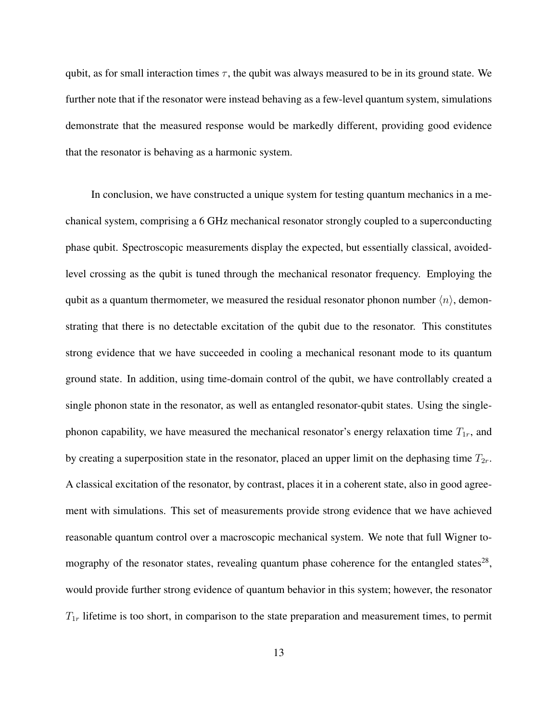qubit, as for small interaction times  $\tau$ , the qubit was always measured to be in its ground state. We further note that if the resonator were instead behaving as a few-level quantum system, simulations demonstrate that the measured response would be markedly different, providing good evidence that the resonator is behaving as a harmonic system.

In conclusion, we have constructed a unique system for testing quantum mechanics in a mechanical system, comprising a 6 GHz mechanical resonator strongly coupled to a superconducting phase qubit. Spectroscopic measurements display the expected, but essentially classical, avoidedlevel crossing as the qubit is tuned through the mechanical resonator frequency. Employing the qubit as a quantum thermometer, we measured the residual resonator phonon number  $\langle n \rangle$ , demonstrating that there is no detectable excitation of the qubit due to the resonator. This constitutes strong evidence that we have succeeded in cooling a mechanical resonant mode to its quantum ground state. In addition, using time-domain control of the qubit, we have controllably created a single phonon state in the resonator, as well as entangled resonator-qubit states. Using the singlephonon capability, we have measured the mechanical resonator's energy relaxation time  $T_{1r}$ , and by creating a superposition state in the resonator, placed an upper limit on the dephasing time  $T_{2r}$ . A classical excitation of the resonator, by contrast, places it in a coherent state, also in good agreement with simulations. This set of measurements provide strong evidence that we have achieved reasonable quantum control over a macroscopic mechanical system. We note that full Wigner tomography of the resonator states, revealing quantum phase coherence for the entangled states<sup>28</sup>, would provide further strong evidence of quantum behavior in this system; however, the resonator  $T_{1r}$  lifetime is too short, in comparison to the state preparation and measurement times, to permit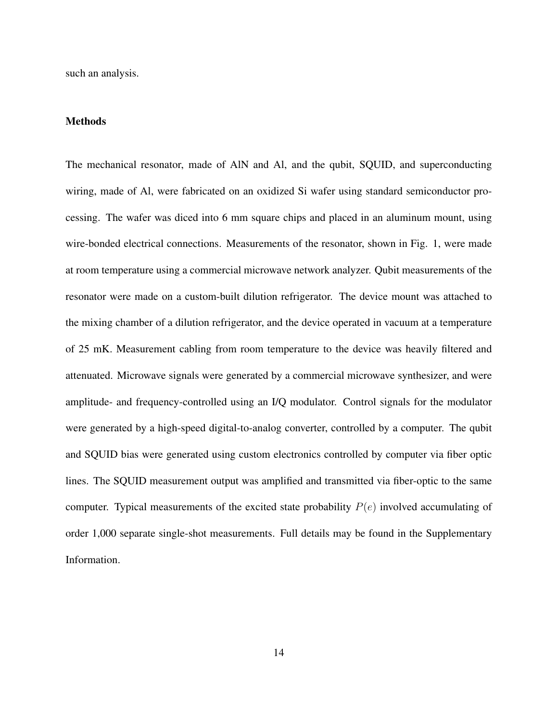such an analysis.

## **Methods**

The mechanical resonator, made of AlN and Al, and the qubit, SQUID, and superconducting wiring, made of Al, were fabricated on an oxidized Si wafer using standard semiconductor processing. The wafer was diced into 6 mm square chips and placed in an aluminum mount, using wire-bonded electrical connections. Measurements of the resonator, shown in Fig. 1, were made at room temperature using a commercial microwave network analyzer. Qubit measurements of the resonator were made on a custom-built dilution refrigerator. The device mount was attached to the mixing chamber of a dilution refrigerator, and the device operated in vacuum at a temperature of 25 mK. Measurement cabling from room temperature to the device was heavily filtered and attenuated. Microwave signals were generated by a commercial microwave synthesizer, and were amplitude- and frequency-controlled using an I/Q modulator. Control signals for the modulator were generated by a high-speed digital-to-analog converter, controlled by a computer. The qubit and SQUID bias were generated using custom electronics controlled by computer via fiber optic lines. The SQUID measurement output was amplified and transmitted via fiber-optic to the same computer. Typical measurements of the excited state probability  $P(e)$  involved accumulating of order 1,000 separate single-shot measurements. Full details may be found in the Supplementary Information.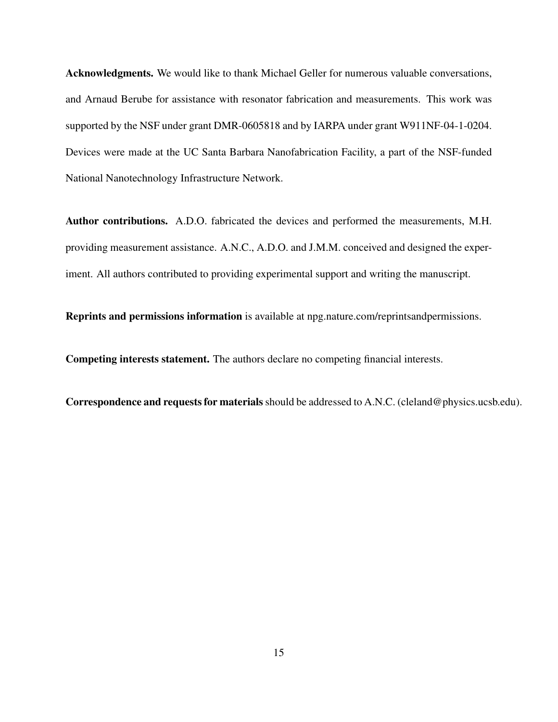Acknowledgments. We would like to thank Michael Geller for numerous valuable conversations, and Arnaud Berube for assistance with resonator fabrication and measurements. This work was supported by the NSF under grant DMR-0605818 and by IARPA under grant W911NF-04-1-0204. Devices were made at the UC Santa Barbara Nanofabrication Facility, a part of the NSF-funded National Nanotechnology Infrastructure Network.

Author contributions. A.D.O. fabricated the devices and performed the measurements, M.H. providing measurement assistance. A.N.C., A.D.O. and J.M.M. conceived and designed the experiment. All authors contributed to providing experimental support and writing the manuscript.

Reprints and permissions information is available at npg.nature.com/reprintsandpermissions.

Competing interests statement. The authors declare no competing financial interests.

Correspondence and requests for materials should be addressed to A.N.C. (cleland@physics.ucsb.edu).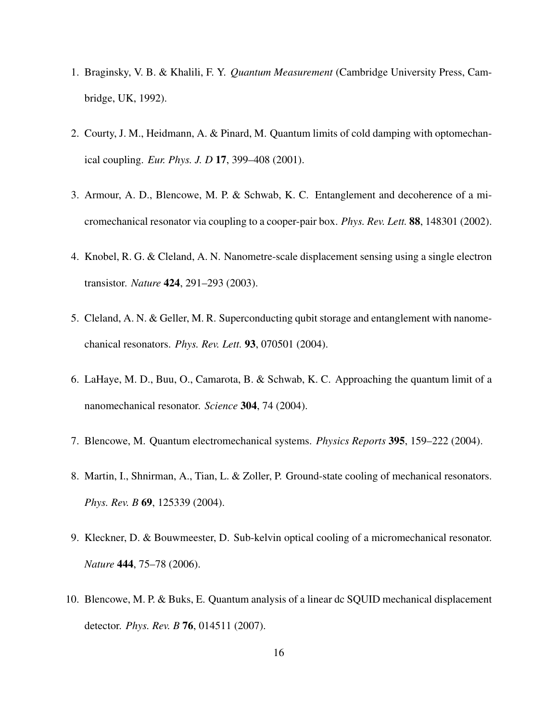- 1. Braginsky, V. B. & Khalili, F. Y. *Quantum Measurement* (Cambridge University Press, Cambridge, UK, 1992).
- 2. Courty, J. M., Heidmann, A. & Pinard, M. Quantum limits of cold damping with optomechanical coupling. *Eur. Phys. J. D* 17, 399–408 (2001).
- 3. Armour, A. D., Blencowe, M. P. & Schwab, K. C. Entanglement and decoherence of a micromechanical resonator via coupling to a cooper-pair box. *Phys. Rev. Lett.* 88, 148301 (2002).
- 4. Knobel, R. G. & Cleland, A. N. Nanometre-scale displacement sensing using a single electron transistor. *Nature* 424, 291–293 (2003).
- 5. Cleland, A. N. & Geller, M. R. Superconducting qubit storage and entanglement with nanomechanical resonators. *Phys. Rev. Lett.* 93, 070501 (2004).
- 6. LaHaye, M. D., Buu, O., Camarota, B. & Schwab, K. C. Approaching the quantum limit of a nanomechanical resonator. *Science* 304, 74 (2004).
- 7. Blencowe, M. Quantum electromechanical systems. *Physics Reports* 395, 159–222 (2004).
- 8. Martin, I., Shnirman, A., Tian, L. & Zoller, P. Ground-state cooling of mechanical resonators. *Phys. Rev. B* 69, 125339 (2004).
- 9. Kleckner, D. & Bouwmeester, D. Sub-kelvin optical cooling of a micromechanical resonator. *Nature* 444, 75–78 (2006).
- 10. Blencowe, M. P. & Buks, E. Quantum analysis of a linear dc SQUID mechanical displacement detector. *Phys. Rev. B* 76, 014511 (2007).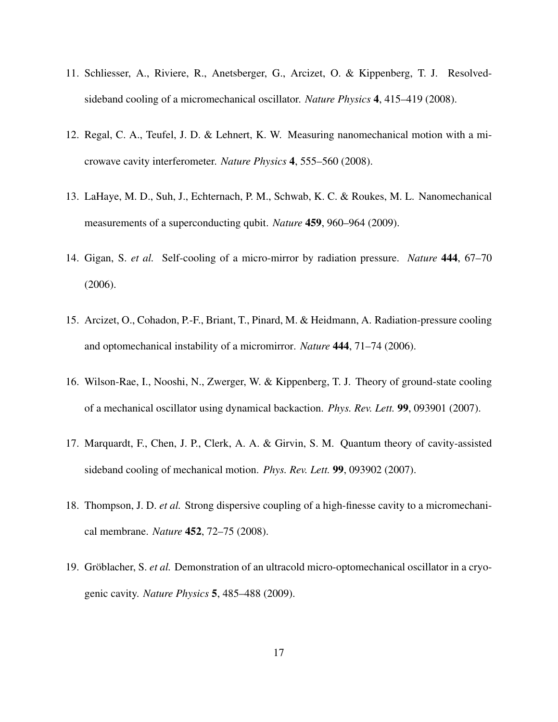- 11. Schliesser, A., Riviere, R., Anetsberger, G., Arcizet, O. & Kippenberg, T. J. Resolvedsideband cooling of a micromechanical oscillator. *Nature Physics* 4, 415–419 (2008).
- 12. Regal, C. A., Teufel, J. D. & Lehnert, K. W. Measuring nanomechanical motion with a microwave cavity interferometer. *Nature Physics* 4, 555–560 (2008).
- 13. LaHaye, M. D., Suh, J., Echternach, P. M., Schwab, K. C. & Roukes, M. L. Nanomechanical measurements of a superconducting qubit. *Nature* 459, 960–964 (2009).
- 14. Gigan, S. *et al.* Self-cooling of a micro-mirror by radiation pressure. *Nature* 444, 67–70 (2006).
- 15. Arcizet, O., Cohadon, P.-F., Briant, T., Pinard, M. & Heidmann, A. Radiation-pressure cooling and optomechanical instability of a micromirror. *Nature* 444, 71–74 (2006).
- 16. Wilson-Rae, I., Nooshi, N., Zwerger, W. & Kippenberg, T. J. Theory of ground-state cooling of a mechanical oscillator using dynamical backaction. *Phys. Rev. Lett.* 99, 093901 (2007).
- 17. Marquardt, F., Chen, J. P., Clerk, A. A. & Girvin, S. M. Quantum theory of cavity-assisted sideband cooling of mechanical motion. *Phys. Rev. Lett.* 99, 093902 (2007).
- 18. Thompson, J. D. *et al.* Strong dispersive coupling of a high-finesse cavity to a micromechanical membrane. *Nature* 452, 72–75 (2008).
- 19. Gröblacher, S. *et al.* Demonstration of an ultracold micro-optomechanical oscillator in a cryogenic cavity. *Nature Physics* 5, 485–488 (2009).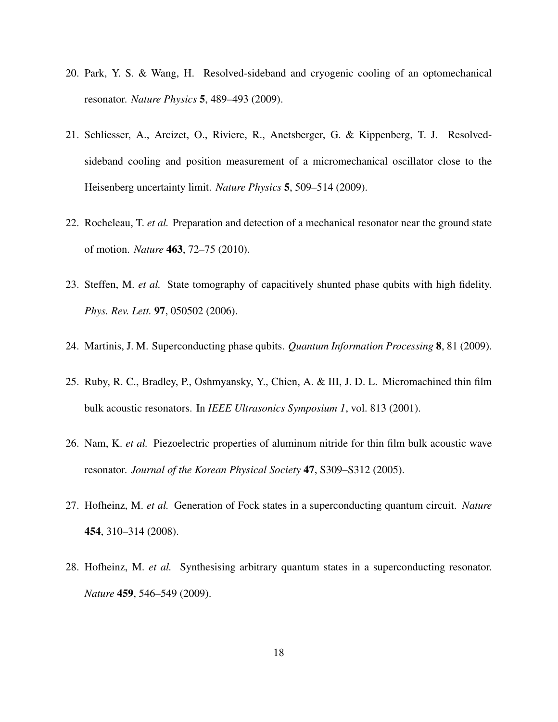- 20. Park, Y. S. & Wang, H. Resolved-sideband and cryogenic cooling of an optomechanical resonator. *Nature Physics* 5, 489–493 (2009).
- 21. Schliesser, A., Arcizet, O., Riviere, R., Anetsberger, G. & Kippenberg, T. J. Resolvedsideband cooling and position measurement of a micromechanical oscillator close to the Heisenberg uncertainty limit. *Nature Physics* 5, 509–514 (2009).
- 22. Rocheleau, T. *et al.* Preparation and detection of a mechanical resonator near the ground state of motion. *Nature* 463, 72–75 (2010).
- 23. Steffen, M. *et al.* State tomography of capacitively shunted phase qubits with high fidelity. *Phys. Rev. Lett.* 97, 050502 (2006).
- 24. Martinis, J. M. Superconducting phase qubits. *Quantum Information Processing* 8, 81 (2009).
- 25. Ruby, R. C., Bradley, P., Oshmyansky, Y., Chien, A. & III, J. D. L. Micromachined thin film bulk acoustic resonators. In *IEEE Ultrasonics Symposium 1*, vol. 813 (2001).
- 26. Nam, K. *et al.* Piezoelectric properties of aluminum nitride for thin film bulk acoustic wave resonator. *Journal of the Korean Physical Society* 47, S309–S312 (2005).
- 27. Hofheinz, M. *et al.* Generation of Fock states in a superconducting quantum circuit. *Nature* 454, 310–314 (2008).
- 28. Hofheinz, M. *et al.* Synthesising arbitrary quantum states in a superconducting resonator. *Nature* 459, 546–549 (2009).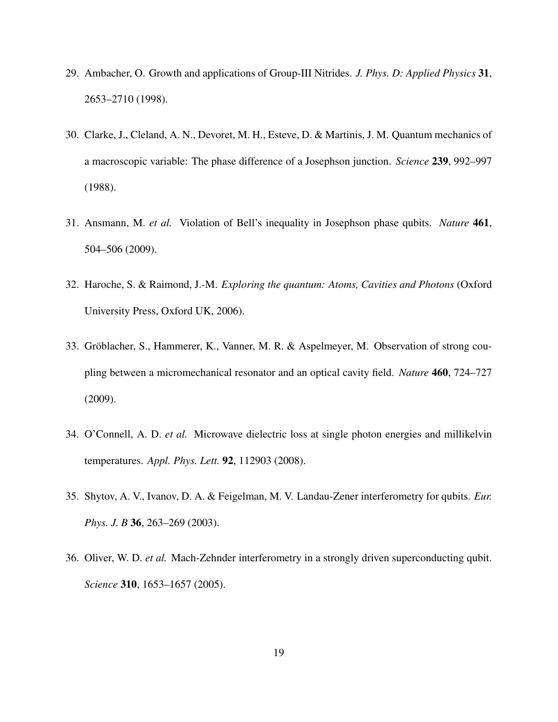- 29. Ambacher, O. Growth and applications of Group-III Nitrides. *J. Phys. D: Applied Physics* 31, 2653–2710 (1998).
- 30. Clarke, J., Cleland, A. N., Devoret, M. H., Esteve, D. & Martinis, J. M. Quantum mechanics of a macroscopic variable: The phase difference of a Josephson junction. *Science* 239, 992–997 (1988).
- 31. Ansmann, M. *et al.* Violation of Bell's inequality in Josephson phase qubits. *Nature* 461, 504–506 (2009).
- 32. Haroche, S. & Raimond, J.-M. *Exploring the quantum: Atoms, Cavities and Photons* (Oxford University Press, Oxford UK, 2006).
- 33. Gröblacher, S., Hammerer, K., Vanner, M. R. & Aspelmeyer, M. Observation of strong coupling between a micromechanical resonator and an optical cavity field. *Nature* 460, 724–727 (2009).
- 34. O'Connell, A. D. *et al.* Microwave dielectric loss at single photon energies and millikelvin temperatures. *Appl. Phys. Lett.* 92, 112903 (2008).
- 35. Shytov, A. V., Ivanov, D. A. & Feigelman, M. V. Landau-Zener interferometry for qubits. *Eur. Phys. J. B* 36, 263–269 (2003).
- 36. Oliver, W. D. *et al.* Mach-Zehnder interferometry in a strongly driven superconducting qubit. *Science* 310, 1653–1657 (2005).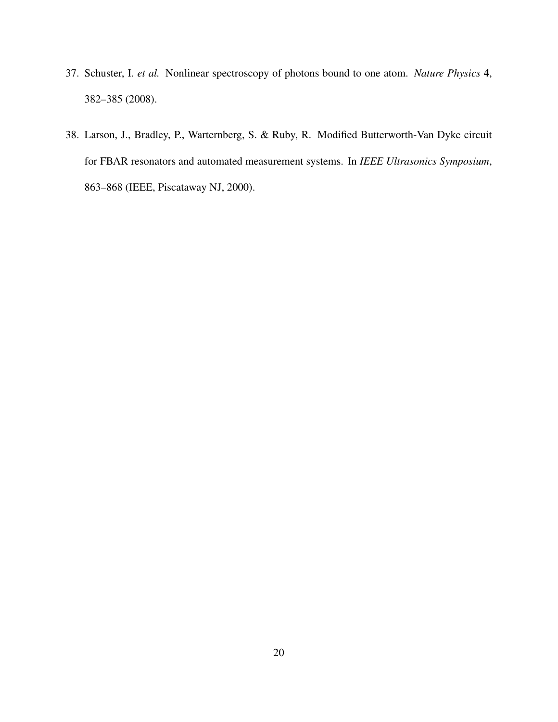- 37. Schuster, I. *et al.* Nonlinear spectroscopy of photons bound to one atom. *Nature Physics* 4, 382–385 (2008).
- 38. Larson, J., Bradley, P., Warternberg, S. & Ruby, R. Modified Butterworth-Van Dyke circuit for FBAR resonators and automated measurement systems. In *IEEE Ultrasonics Symposium*, 863–868 (IEEE, Piscataway NJ, 2000).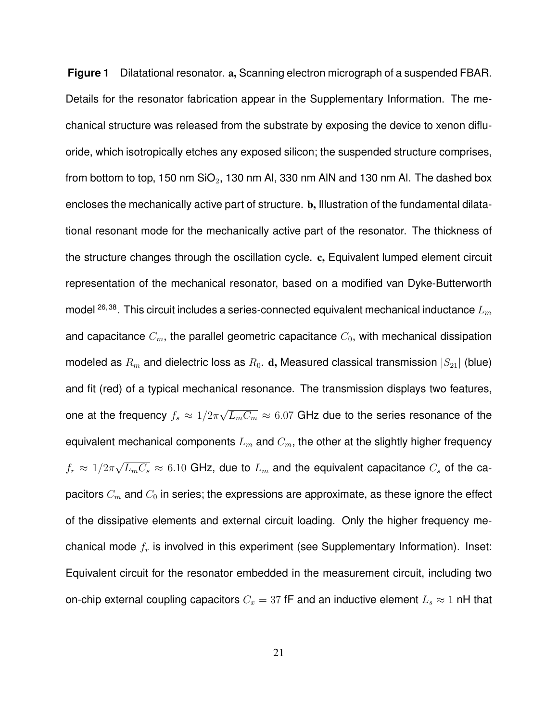**Figure 1** Dilatational resonator. a, Scanning electron micrograph of a suspended FBAR. Details for the resonator fabrication appear in the Supplementary Information. The mechanical structure was released from the substrate by exposing the device to xenon difluoride, which isotropically etches any exposed silicon; the suspended structure comprises, from bottom to top, 150 nm  $SiO<sub>2</sub>$ , 130 nm Al, 330 nm AlN and 130 nm Al. The dashed box encloses the mechanically active part of structure. b, Illustration of the fundamental dilatational resonant mode for the mechanically active part of the resonator. The thickness of the structure changes through the oscillation cycle. c, Equivalent lumped element circuit representation of the mechanical resonator, based on a modified van Dyke-Butterworth model  $^{26,38}$ . This circuit includes a series-connected equivalent mechanical inductance  $L_m$ and capacitance  $C_m$ , the parallel geometric capacitance  $C_0$ , with mechanical dissipation modeled as  $R_m$  and dielectric loss as  $R_0$ . d, Measured classical transmission  $|S_{21}|$  (blue) and fit (red) of a typical mechanical resonance. The transmission displays two features, one at the frequency  $f_s \approx 1/2\pi$ √  $\overline{L_mC_m}\approx 6.07$  GHz due to the series resonance of the equivalent mechanical components  $L_m$  and  $C_m$ , the other at the slightly higher frequency  $f_r \approx 1/2\pi$ √  $\overline{L_mC_s}\approx 6.10$  GHz, due to  $L_m$  and the equivalent capacitance  $C_s$  of the capacitors  $C_m$  and  $C_0$  in series; the expressions are approximate, as these ignore the effect of the dissipative elements and external circuit loading. Only the higher frequency mechanical mode  $f_r$  is involved in this experiment (see Supplementary Information). Inset: Equivalent circuit for the resonator embedded in the measurement circuit, including two on-chip external coupling capacitors  $C_x = 37$  fF and an inductive element  $L_s \approx 1$  nH that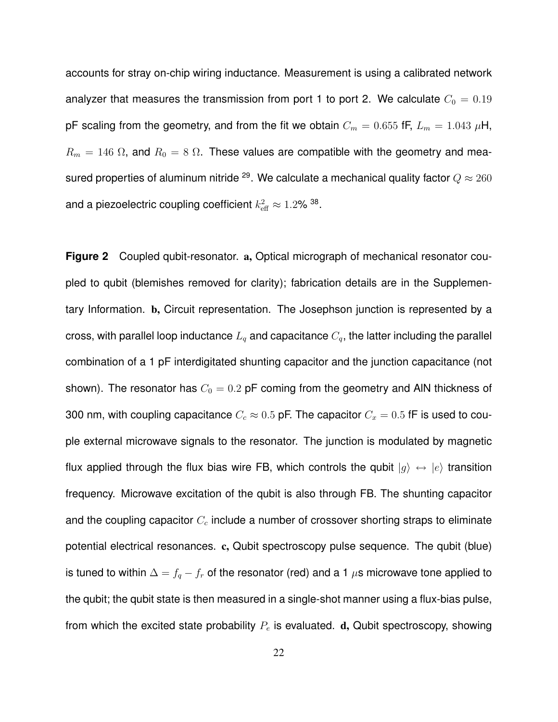accounts for stray on-chip wiring inductance. Measurement is using a calibrated network analyzer that measures the transmission from port 1 to port 2. We calculate  $C_0 = 0.19$ pF scaling from the geometry, and from the fit we obtain  $C_m = 0.655$  fF,  $L_m = 1.043 \mu$ H,  $R_m = 146 \Omega$ , and  $R_0 = 8 \Omega$ . These values are compatible with the geometry and measured properties of aluminum nitride <sup>29</sup>. We calculate a mechanical quality factor  $Q \approx 260$ and a piezoelectric coupling coefficient  $k_{\text{eff}}^2\approx 1.2\%$   $^{38}.$ 

**Figure 2** Coupled qubit-resonator. a, Optical micrograph of mechanical resonator coupled to qubit (blemishes removed for clarity); fabrication details are in the Supplementary Information. b, Circuit representation. The Josephson junction is represented by a cross, with parallel loop inductance  $L_q$  and capacitance  $C_q$ , the latter including the parallel combination of a 1 pF interdigitated shunting capacitor and the junction capacitance (not shown). The resonator has  $C_0 = 0.2$  pF coming from the geometry and AIN thickness of 300 nm, with coupling capacitance  $C_c \approx 0.5$  pF. The capacitor  $C_x = 0.5$  fF is used to couple external microwave signals to the resonator. The junction is modulated by magnetic flux applied through the flux bias wire FB, which controls the qubit  $|g\rangle \leftrightarrow |e\rangle$  transition frequency. Microwave excitation of the qubit is also through FB. The shunting capacitor and the coupling capacitor  $C_c$  include a number of crossover shorting straps to eliminate potential electrical resonances. c, Qubit spectroscopy pulse sequence. The qubit (blue) is tuned to within  $\Delta = f_q - f_r$  of the resonator (red) and a 1  $\mu$ s microwave tone applied to the qubit; the qubit state is then measured in a single-shot manner using a flux-bias pulse, from which the excited state probability  $P_e$  is evaluated.  $d$ , Qubit spectroscopy, showing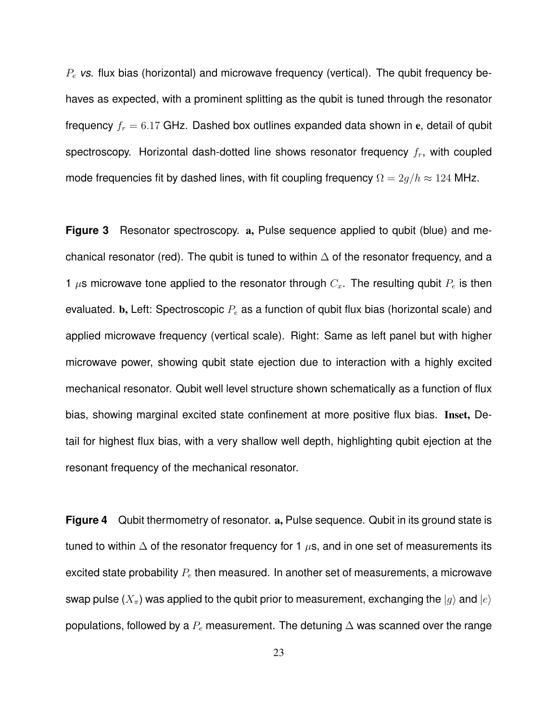$P_e$  *vs.* flux bias (horizontal) and microwave frequency (vertical). The qubit frequency behaves as expected, with a prominent splitting as the qubit is tuned through the resonator frequency  $f_r = 6.17$  GHz. Dashed box outlines expanded data shown in e, detail of qubit spectroscopy. Horizontal dash-dotted line shows resonator frequency  $f_r$ , with coupled mode frequencies fit by dashed lines, with fit coupling frequency  $\Omega = 2g/h \approx 124$  MHz.

**Figure 3** Resonator spectroscopy. a, Pulse sequence applied to qubit (blue) and mechanical resonator (red). The qubit is tuned to within  $\Delta$  of the resonator frequency, and a 1  $\mu$ s microwave tone applied to the resonator through  $C_x$ . The resulting qubit  $P_e$  is then evaluated. b, Left: Spectroscopic  $P_e$  as a function of qubit flux bias (horizontal scale) and applied microwave frequency (vertical scale). Right: Same as left panel but with higher microwave power, showing qubit state ejection due to interaction with a highly excited mechanical resonator. Qubit well level structure shown schematically as a function of flux bias, showing marginal excited state confinement at more positive flux bias. Inset, Detail for highest flux bias, with a very shallow well depth, highlighting qubit ejection at the resonant frequency of the mechanical resonator.

**Figure 4** Qubit thermometry of resonator. a, Pulse sequence. Qubit in its ground state is tuned to within  $\Delta$  of the resonator frequency for 1  $\mu$ s, and in one set of measurements its excited state probability  $P_e$  then measured. In another set of measurements, a microwave swap pulse  $(X_{\pi})$  was applied to the qubit prior to measurement, exchanging the  $|g\rangle$  and  $|e\rangle$ populations, followed by a  $P_e$  measurement. The detuning  $\Delta$  was scanned over the range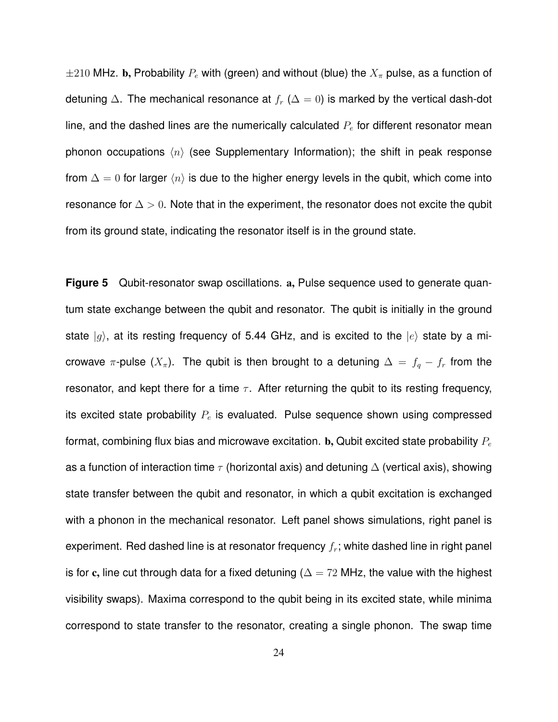$\pm 210$  MHz. b, Probability  $P_e$  with (green) and without (blue) the  $X_\pi$  pulse, as a function of detuning  $\Delta$ . The mechanical resonance at  $f_r$  ( $\Delta = 0$ ) is marked by the vertical dash-dot line, and the dashed lines are the numerically calculated  $P_e$  for different resonator mean phonon occupations  $\langle n \rangle$  (see Supplementary Information); the shift in peak response from  $\Delta = 0$  for larger  $\langle n \rangle$  is due to the higher energy levels in the qubit, which come into resonance for  $\Delta > 0$ . Note that in the experiment, the resonator does not excite the qubit from its ground state, indicating the resonator itself is in the ground state.

**Figure 5** Qubit-resonator swap oscillations. a, Pulse sequence used to generate quantum state exchange between the qubit and resonator. The qubit is initially in the ground state  $|g\rangle$ , at its resting frequency of 5.44 GHz, and is excited to the  $|e\rangle$  state by a microwave  $\pi$ -pulse  $(X_{\pi})$ . The qubit is then brought to a detuning  $\Delta = f_q - f_r$  from the resonator, and kept there for a time  $\tau$ . After returning the qubit to its resting frequency, its excited state probability  $P_e$  is evaluated. Pulse sequence shown using compressed format, combining flux bias and microwave excitation. **b**, Qubit excited state probability  $P_e$ as a function of interaction time  $\tau$  (horizontal axis) and detuning  $\Delta$  (vertical axis), showing state transfer between the qubit and resonator, in which a qubit excitation is exchanged with a phonon in the mechanical resonator. Left panel shows simulations, right panel is experiment. Red dashed line is at resonator frequency  $f_r$ ; white dashed line in right panel is for c, line cut through data for a fixed detuning ( $\Delta = 72$  MHz, the value with the highest visibility swaps). Maxima correspond to the qubit being in its excited state, while minima correspond to state transfer to the resonator, creating a single phonon. The swap time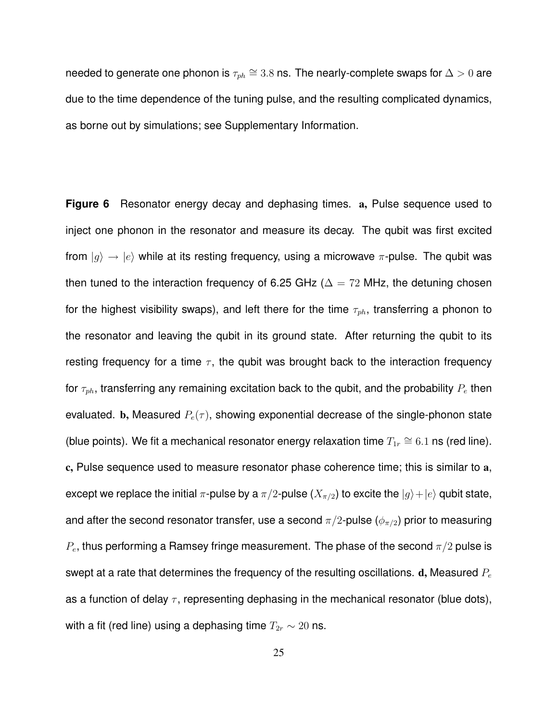needed to generate one phonon is  $\tau_{ph} \cong 3.8$  ns. The nearly-complete swaps for  $\Delta > 0$  are due to the time dependence of the tuning pulse, and the resulting complicated dynamics, as borne out by simulations; see Supplementary Information.

**Figure 6** Resonator energy decay and dephasing times. a, Pulse sequence used to inject one phonon in the resonator and measure its decay. The qubit was first excited from  $|g\rangle \rightarrow |e\rangle$  while at its resting frequency, using a microwave  $\pi$ -pulse. The qubit was then tuned to the interaction frequency of 6.25 GHz ( $\Delta = 72$  MHz, the detuning chosen for the highest visibility swaps), and left there for the time  $\tau_{ph}$ , transferring a phonon to the resonator and leaving the qubit in its ground state. After returning the qubit to its resting frequency for a time  $\tau$ , the qubit was brought back to the interaction frequency for  $\tau_{ph}$ , transferring any remaining excitation back to the qubit, and the probability  $P_e$  then evaluated. b, Measured  $P_e(\tau)$ , showing exponential decrease of the single-phonon state (blue points). We fit a mechanical resonator energy relaxation time  $T_{1r} \cong 6.1$  ns (red line). c, Pulse sequence used to measure resonator phase coherence time; this is similar to a, except we replace the initial  $\pi$ -pulse by a  $\pi/2$ -pulse  $(X_{\pi/2})$  to excite the  $|g\rangle+|e\rangle$  qubit state, and after the second resonator transfer, use a second  $\pi/2$ -pulse ( $\phi_{\pi/2}$ ) prior to measuring  $P_e$ , thus performing a Ramsey fringe measurement. The phase of the second  $\pi/2$  pulse is swept at a rate that determines the frequency of the resulting oscillations.  $d$ , Measured  $P_e$ as a function of delay  $\tau$ , representing dephasing in the mechanical resonator (blue dots), with a fit (red line) using a dephasing time  $T_{2r} \sim 20$  ns.